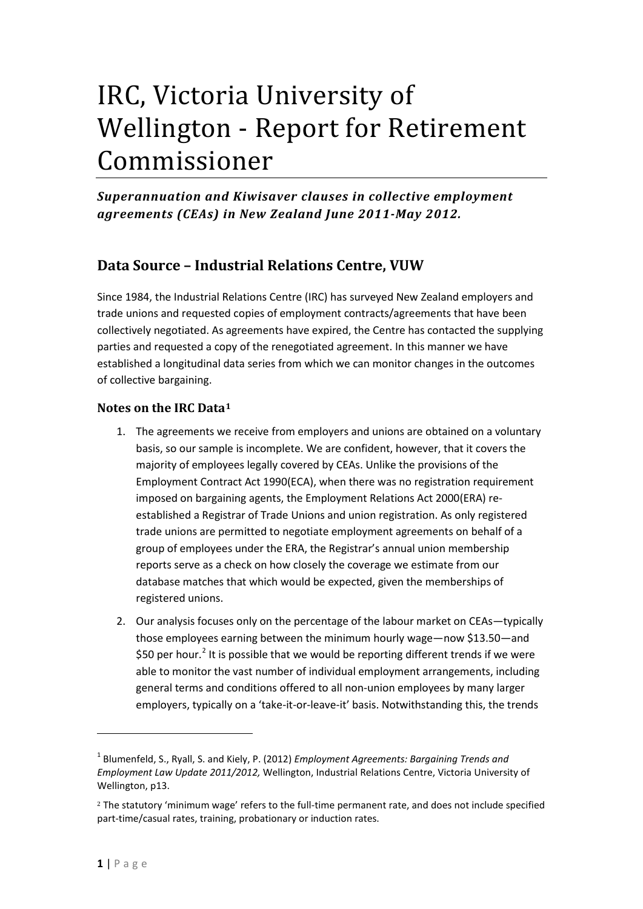# IRC, Victoria University of Wellington - Report for Retirement Commissioner

*Superannuation and Kiwisaver clauses in collective employment agreements (CEAs) in New Zealand June 2011-May 2012.*

# **Data Source – Industrial Relations Centre, VUW**

Since 1984, the Industrial Relations Centre (IRC) has surveyed New Zealand employers and trade unions and requested copies of employment contracts/agreements that have been collectively negotiated. As agreements have expired, the Centre has contacted the supplying parties and requested a copy of the renegotiated agreement. In this manner we have established a longitudinal data series from which we can monitor changes in the outcomes of collective bargaining.

## **Notes on the IRC Data[1](#page-0-0)**

- 1. The agreements we receive from employers and unions are obtained on a voluntary basis, so our sample is incomplete. We are confident, however, that it covers the majority of employees legally covered by CEAs. Unlike the provisions of the Employment Contract Act 1990(ECA), when there was no registration requirement imposed on bargaining agents, the Employment Relations Act 2000(ERA) reestablished a Registrar of Trade Unions and union registration. As only registered trade unions are permitted to negotiate employment agreements on behalf of a group of employees under the ERA, the Registrar's annual union membership reports serve as a check on how closely the coverage we estimate from our database matches that which would be expected, given the memberships of registered unions.
- 2. Our analysis focuses only on the percentage of the labour market on CEAs—typically those employees earning between the minimum hourly wage—now \$13.50—and \$50 per hour.<sup>[2](#page-0-1)</sup> It is possible that we would be reporting different trends if we were able to monitor the vast number of individual employment arrangements, including general terms and conditions offered to all non-union employees by many larger employers, typically on a 'take-it-or-leave-it' basis. Notwithstanding this, the trends

 $\overline{\phantom{a}}$ 

<span id="page-0-2"></span><span id="page-0-0"></span><sup>1</sup> Blumenfeld, S., Ryall, S. and Kiely, P. (2012) *Employment Agreements: Bargaining Trends and Employment Law Update 2011/2012,* Wellington, Industrial Relations Centre, Victoria University of Wellington, p13.

<span id="page-0-1"></span><sup>2</sup> The statutory 'minimum wage' refers to the full-time permanent rate, and does not include specified part-time/casual rates, training, probationary or induction rates.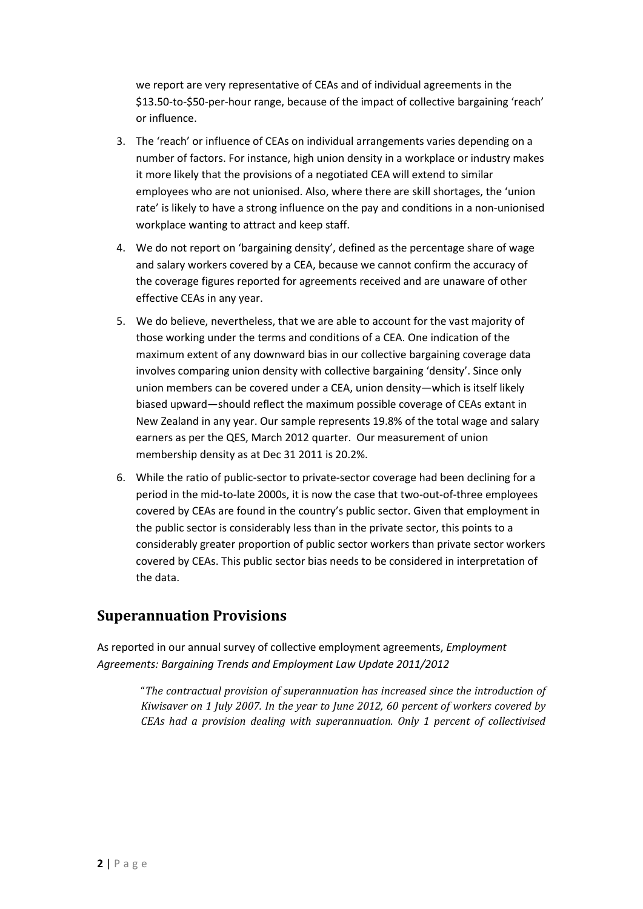we report are very representative of CEAs and of individual agreements in the \$13.50-to-\$50-per-hour range, because of the impact of collective bargaining 'reach' or influence.

- 3. The 'reach' or influence of CEAs on individual arrangements varies depending on a number of factors. For instance, high union density in a workplace or industry makes it more likely that the provisions of a negotiated CEA will extend to similar employees who are not unionised. Also, where there are skill shortages, the 'union rate' is likely to have a strong influence on the pay and conditions in a non-unionised workplace wanting to attract and keep staff.
- 4. We do not report on 'bargaining density', defined as the percentage share of wage and salary workers covered by a CEA, because we cannot confirm the accuracy of the coverage figures reported for agreements received and are unaware of other effective CEAs in any year.
- 5. We do believe, nevertheless, that we are able to account for the vast majority of those working under the terms and conditions of a CEA. One indication of the maximum extent of any downward bias in our collective bargaining coverage data involves comparing union density with collective bargaining 'density'. Since only union members can be covered under a CEA, union density—which is itself likely biased upward—should reflect the maximum possible coverage of CEAs extant in New Zealand in any year. Our sample represents 19.8% of the total wage and salary earners as per the QES, March 2012 quarter. Our measurement of union membership density as at Dec 31 2011 is 20.2%.
- 6. While the ratio of public-sector to private-sector coverage had been declining for a period in the mid-to-late 2000s, it is now the case that two-out-of-three employees covered by CEAs are found in the country's public sector. Given that employment in the public sector is considerably less than in the private sector, this points to a considerably greater proportion of public sector workers than private sector workers covered by CEAs. This public sector bias needs to be considered in interpretation of the data.

# **Superannuation Provisions**

As reported in our annual survey of collective employment agreements, *Employment Agreements: Bargaining Trends and Employment Law Update 2011/2012*

> "*The contractual provision of superannuation has increased since the introduction of Kiwisaver on 1 July 2007. In the year to June 2012, 60 percent of workers covered by CEAs had a provision dealing with superannuation. Only 1 percent of collectivised*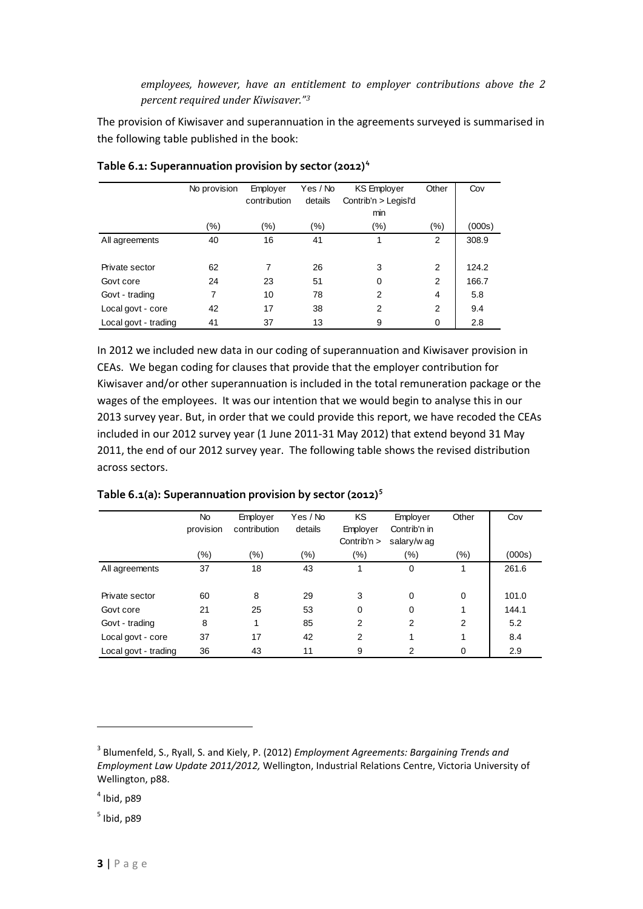*employees, however, have an entitlement to employer contributions above the 2 percent required under Kiwisaver."[3](#page-0-2)*

The provision of Kiwisaver and superannuation in the agreements surveyed is summarised in the following table published in the book:

|                      | No provision | Employer     | Yes / No | <b>KS Employer</b>   | Other          | Cov    |
|----------------------|--------------|--------------|----------|----------------------|----------------|--------|
|                      |              | contribution | details  | Contrib'n > Legisl'd |                |        |
|                      |              |              |          | min                  |                |        |
|                      | (%)          | $(\% )$      | $(\% )$  | (%)                  | (%)            | (000s) |
| All agreements       | 40           | 16           | 41       | 1                    | 2              | 308.9  |
|                      |              |              |          |                      |                |        |
| Private sector       | 62           | 7            | 26       | 3                    | 2              | 124.2  |
| Govt core            | 24           | 23           | 51       | 0                    | 2              | 166.7  |
| Govt - trading       | 7            | 10           | 78       | 2                    | 4              | 5.8    |
| Local govt - core    | 42           | 17           | 38       | 2                    | $\overline{2}$ | 9.4    |
| Local govt - trading | 41           | 37           | 13       | 9                    | 0              | 2.8    |

**Table 6.1: Superannuation provision by sector (2012) [4](#page-2-0)**

In 2012 we included new data in our coding of superannuation and Kiwisaver provision in CEAs. We began coding for clauses that provide that the employer contribution for Kiwisaver and/or other superannuation is included in the total remuneration package or the wages of the employees. It was our intention that we would begin to analyse this in our 2013 survey year. But, in order that we could provide this report, we have recoded the CEAs included in our 2012 survey year (1 June 2011-31 May 2012) that extend beyond 31 May 2011, the end of our 2012 survey year. The following table shows the revised distribution across sectors.

|                      | No<br>provision | Employer<br>contribution | Yes / No<br>details | KS<br>Employer | Employer<br>Contrib'n in | Other | Cov    |
|----------------------|-----------------|--------------------------|---------------------|----------------|--------------------------|-------|--------|
|                      |                 |                          |                     | Contrib'n $>$  | salary/w ag              |       |        |
|                      | (%)             | (%)                      | (%)                 | $(\% )$        | $(\% )$                  | (%)   | (000s) |
| All agreements       | 37              | 18                       | 43                  |                | $\Omega$                 | 1     | 261.6  |
|                      |                 |                          |                     |                |                          |       |        |
| Private sector       | 60              | 8                        | 29                  | 3              | $\Omega$                 | 0     | 101.0  |
| Govt core            | 21              | 25                       | 53                  | 0              | $\Omega$                 | 1     | 144.1  |
| Govt - trading       | 8               | 1                        | 85                  | 2              | 2                        | 2     | 5.2    |
| Local govt - core    | 37              | 17                       | 42                  | 2              |                          | 1     | 8.4    |
| Local govt - trading | 36              | 43                       | 11                  | 9              | $\mathcal{P}$            | 0     | 2.9    |

**Table 6.1(a): Superannuation provision by sector (2012) [5](#page-2-1)**

 $\overline{\phantom{a}}$ 

<span id="page-2-1"></span> $<sup>5</sup>$  Ibid, p89</sup>

<sup>3</sup> Blumenfeld, S., Ryall, S. and Kiely, P. (2012) *Employment Agreements: Bargaining Trends and Employment Law Update 2011/2012,* Wellington, Industrial Relations Centre, Victoria University of Wellington, p88.

<span id="page-2-0"></span> $<sup>4</sup>$  Ibid, p89</sup>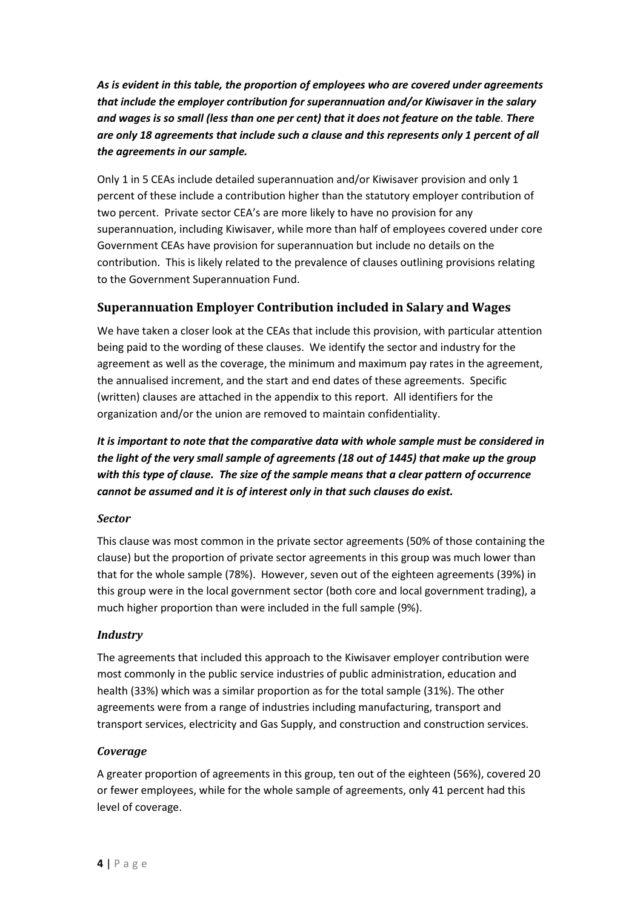*As is evident in this table, the proportion of employees who are covered under agreements that include the employer contribution for superannuation and/or Kiwisaver in the salary and wages is so small (less than one per cent) that it does not feature on the table. There are only 18 agreements that include such a clause and this represents only 1 percent of all the agreements in our sample.* 

Only 1 in 5 CEAs include detailed superannuation and/or Kiwisaver provision and only 1 percent of these include a contribution higher than the statutory employer contribution of two percent. Private sector CEA's are more likely to have no provision for any superannuation, including Kiwisaver, while more than half of employees covered under core Government CEAs have provision for superannuation but include no details on the contribution. This is likely related to the prevalence of clauses outlining provisions relating to the Government Superannuation Fund.

## **Superannuation Employer Contribution included in Salary and Wages**

We have taken a closer look at the CEAs that include this provision, with particular attention being paid to the wording of these clauses. We identify the sector and industry for the agreement as well as the coverage, the minimum and maximum pay rates in the agreement, the annualised increment, and the start and end dates of these agreements. Specific (written) clauses are attached in the appendix to this report. All identifiers for the organization and/or the union are removed to maintain confidentiality.

*It is important to note that the comparative data with whole sample must be considered in the light of the very small sample of agreements (18 out of 1445) that make up the group with this type of clause. The size of the sample means that a clear pattern of occurrence cannot be assumed and it is of interest only in that such clauses do exist.* 

## *Sector*

This clause was most common in the private sector agreements (50% of those containing the clause) but the proportion of private sector agreements in this group was much lower than that for the whole sample (78%). However, seven out of the eighteen agreements (39%) in this group were in the local government sector (both core and local government trading), a much higher proportion than were included in the full sample (9%).

## *Industry*

The agreements that included this approach to the Kiwisaver employer contribution were most commonly in the public service industries of public administration, education and health (33%) which was a similar proportion as for the total sample (31%). The other agreements were from a range of industries including manufacturing, transport and transport services, electricity and Gas Supply, and construction and construction services.

#### *Coverage*

A greater proportion of agreements in this group, ten out of the eighteen (56%), covered 20 or fewer employees, while for the whole sample of agreements, only 41 percent had this level of coverage.